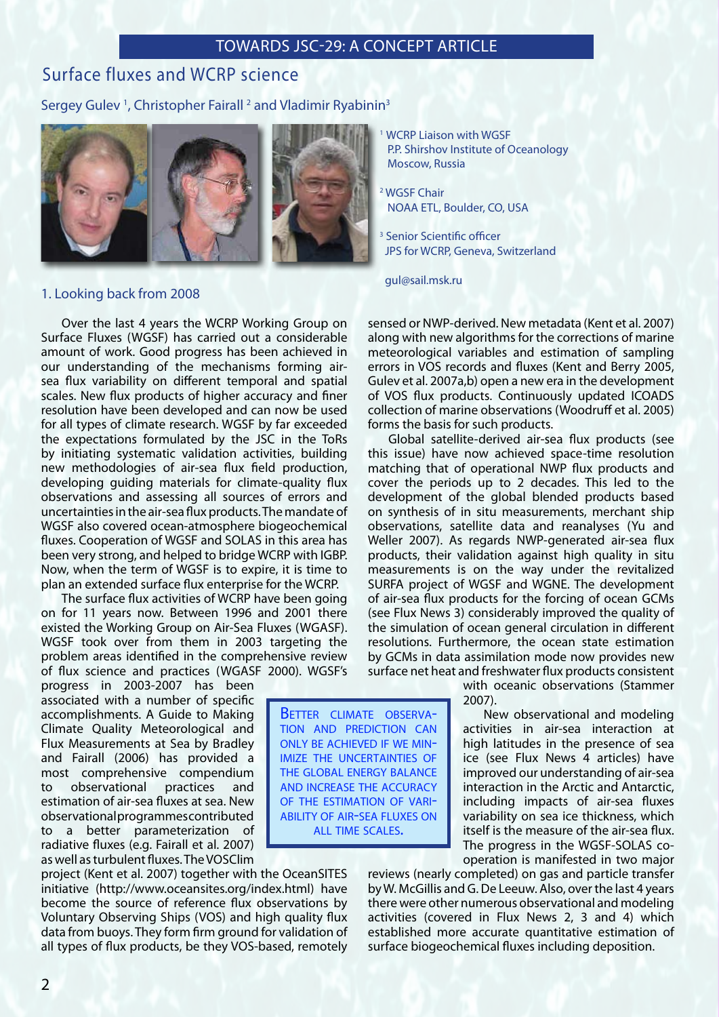# TOWARDS JSC-29: A CONCEPT ARTICLE

# Surface fluxes and WCRP science

## Sergey Gulev<sup>1</sup>, Christopher Fairall<sup>2</sup> and Vladimir Ryabinin<sup>3</sup>



### 1. Looking back from 2008

Over the last 4 years the WCRP Working Group on Surface Fluxes (WGSF) has carried out a considerable amount of work. Good progress has been achieved in our understanding of the mechanisms forming airsea flux variability on different temporal and spatial scales. New flux products of higher accuracy and finer resolution have been developed and can now be used for all types of climate research. WGSF by far exceeded the expectations formulated by the JSC in the ToRs by initiating systematic validation activities, building new methodologies of air-sea flux field production, developing guiding materials for climate-quality flux observations and assessing all sources of errors and uncertainties in the air-sea flux products. The mandate of WGSF also covered ocean-atmosphere biogeochemical fluxes. Cooperation of WGSF and SOLAS in this area has been very strong, and helped to bridge WCRP with IGBP. Now, when the term of WGSF is to expire, it is time to plan an extended surface flux enterprise for the WCRP.

The surface flux activities of WCRP have been going on for 11 years now. Between 1996 and 2001 there existed the Working Group on Air-Sea Fluxes (WGASF). WGSF took over from them in 2003 targeting the problem areas identified in the comprehensive review of flux science and practices (WGASF 2000). WGSF's

progress in 2003-2007 has been associated with a number of specific accomplishments. A Guide to Making Climate Quality Meteorological and Flux Measurements at Sea by Bradley and Fairall (2006) has provided a most comprehensive compendium to observational practices and estimation of air-sea fluxes at sea. New observational programmes contributed to a better parameterization of radiative fluxes (e.g. Fairall et al. 2007) as well as turbulent fluxes. The VOSClim

project (Kent et al. 2007) together with the OceanSITES initiative (http://www.oceansites.org/index.html) have become the source of reference flux observations by Voluntary Observing Ships (VOS) and high quality flux data from buoys. They form firm ground for validation of all types of flux products, be they VOS-based, remotely WCRP Liaison with WGSF P.P. Shirshov Institute of Oceanology Moscow, Russia

2 WGSF Chair NOAA ETL, Boulder, CO, USA

3 Senior Scientific officer JPS for WCRP, Geneva, Switzerland

gul@sail.msk.ru

sensed or NWP-derived. New metadata (Kent et al. 2007) along with new algorithms for the corrections of marine meteorological variables and estimation of sampling errors in VOS records and fluxes (Kent and Berry 2005, Gulev et al. 2007a,b) open a new era in the development of VOS flux products. Continuously updated ICOADS collection of marine observations (Woodruff et al. 2005) forms the basis for such products.

Global satellite-derived air-sea flux products (see this issue) have now achieved space-time resolution matching that of operational NWP flux products and cover the periods up to 2 decades. This led to the development of the global blended products based on synthesis of in situ measurements, merchant ship observations, satellite data and reanalyses (Yu and Weller 2007). As regards NWP-generated air-sea flux products, their validation against high quality in situ measurements is on the way under the revitalized SURFA project of WGSF and WGNE. The development of air-sea flux products for the forcing of ocean GCMs (see Flux News 3) considerably improved the quality of the simulation of ocean general circulation in different resolutions. Furthermore, the ocean state estimation by GCMs in data assimilation mode now provides new surface net heat and freshwater flux products consistent

with oceanic observations (Stammer 2007).

New observational and modeling activities in air-sea interaction at high latitudes in the presence of sea ice (see Flux News 4 articles) have improved our understanding of air-sea interaction in the Arctic and Antarctic, including impacts of air-sea fluxes variability on sea ice thickness, which itself is the measure of the air-sea flux. The progress in the WGSF-SOLAS cooperation is manifested in two major

reviews (nearly completed) on gas and particle transfer by W. McGillis and G. De Leeuw. Also, over the last 4 years there were other numerous observational and modeling activities (covered in Flux News 2, 3 and 4) which established more accurate quantitative estimation of surface biogeochemical fluxes including deposition.

BETTER CLIMATE OBSERVAtion and prediction can only be achieved if we min imize the uncertainties of the global energy balance and increase the accuracy of the estimation of vari ability of air-sea fluxes on ALL TIME SCALES.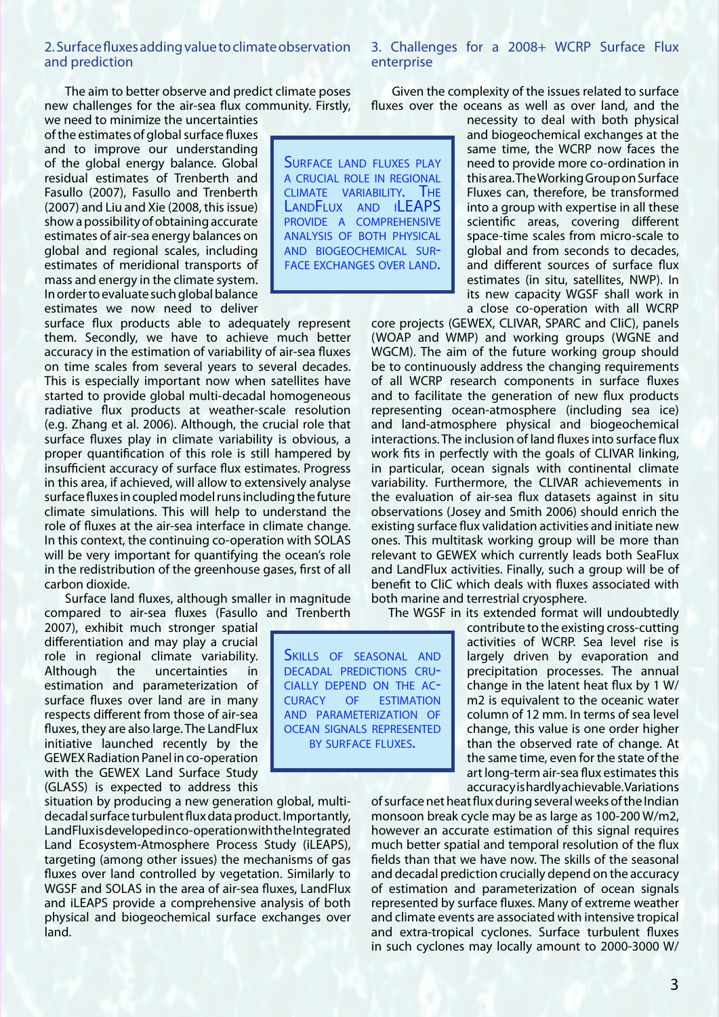#### 2. Surface fluxes adding value to climate observation and prediction

The aim to better observe and predict climate poses new challenges for the air-sea flux community. Firstly,

we need to minimize the uncertainties of the estimates of global surface fluxes and to improve our understanding of the global energy balance. Global residual estimates of Trenberth and Fasullo (2007), Fasullo and Trenberth (2007) and Liu and Xie (2008, this issue) show a possibility of obtaining accurate estimates of air-sea energy balances on global and regional scales, including estimates of meridional transports of mass and energy in the climate system. In order to evaluate such global balance estimates we now need to deliver

surface flux products able to adequately represent them. Secondly, we have to achieve much better accuracy in the estimation of variability of air-sea fluxes on time scales from several years to several decades. This is especially important now when satellites have started to provide global multi-decadal homogeneous radiative flux products at weather-scale resolution (e.g. Zhang et al. 2006). Although, the crucial role that surface fluxes play in climate variability is obvious, a proper quantification of this role is still hampered by insufficient accuracy of surface flux estimates. Progress in this area, if achieved, will allow to extensively analyse surface fluxes in coupled model runs including the future climate simulations. This will help to understand the role of fluxes at the air-sea interface in climate change. In this context, the continuing co-operation with SOLAS will be very important for quantifying the ocean's role in the redistribution of the greenhouse gases, first of all carbon dioxide.

Surface land fluxes, although smaller in magnitude compared to air-sea fluxes (Fasullo and Trenberth

2007), exhibit much stronger spatial differentiation and may play a crucial role in regional climate variability. Although the uncertainties in estimation and parameterization of surface fluxes over land are in many respects different from those of air-sea fluxes, they are also large. The LandFlux initiative launched recently by the GEWEX Radiation Panel in co-operation with the GEWEX Land Surface Study (GLASS) is expected to address this

situation by producing a new generation global, multidecadal surface turbulent flux data product. Importantly, LandFlux is developed in co-operation with the Integrated Land Ecosystem-Atmosphere Process Study (iLEAPS), targeting (among other issues) the mechanisms of gas fluxes over land controlled by vegetation. Similarly to WGSF and SOLAS in the area of air-sea fluxes, LandFlux and iLEAPS provide a comprehensive analysis of both physical and biogeochemical surface exchanges over land.

3. Challenges for a 2008+ WCRP Surface Flux enterprise

Given the complexity of the issues related to surface fluxes over the oceans as well as over land, and the

SURFACE LAND FLUXES PLAY a crucial role in regional climate variability. The LANDFLUX AND ILEAPS provide a comprehensive analysis of both physical and biogeochemical sur face exchanges over land.

necessity to deal with both physical and biogeochemical exchanges at the same time, the WCRP now faces the need to provide more co-ordination in this area. The Working Group on Surface Fluxes can, therefore, be transformed into a group with expertise in all these scientific areas, covering different space-time scales from micro-scale to global and from seconds to decades, and different sources of surface flux estimates (in situ, satellites, NWP). In its new capacity WGSF shall work in a close co-operation with all WCRP

core projects (GEWEX, CLIVAR, SPARC and CliC), panels (WOAP and WMP) and working groups (WGNE and WGCM). The aim of the future working group should be to continuously address the changing requirements of all WCRP research components in surface fluxes and to facilitate the generation of new flux products representing ocean-atmosphere (including sea ice) and land-atmosphere physical and biogeochemical interactions. The inclusion of land fluxes into surface flux work fits in perfectly with the goals of CLIVAR linking, in particular, ocean signals with continental climate variability. Furthermore, the CLIVAR achievements in the evaluation of air-sea flux datasets against in situ observations (Josey and Smith 2006) should enrich the existing surface flux validation activities and initiate new ones. This multitask working group will be more than relevant to GEWEX which currently leads both SeaFlux and LandFlux activities. Finally, such a group will be of benefit to CliC which deals with fluxes associated with both marine and terrestrial cryosphere.

The WGSF in its extended format will undoubtedly

contribute to the existing cross-cutting activities of WCRP. Sea level rise is largely driven by evaporation and precipitation processes. The annual change in the latent heat flux by 1 W/ m2 is equivalent to the oceanic water column of 12 mm. In terms of sea level change, this value is one order higher than the observed rate of change. At the same time, even for the state of the art long-term air-sea flux estimates this accuracy is hardly achievable. Variations

of surface net heat flux during several weeks of the Indian monsoon break cycle may be as large as 100-200 W/m2, however an accurate estimation of this signal requires much better spatial and temporal resolution of the flux fields than that we have now. The skills of the seasonal and decadal prediction crucially depend on the accuracy of estimation and parameterization of ocean signals represented by surface fluxes. Many of extreme weather and climate events are associated with intensive tropical and extra-tropical cyclones. Surface turbulent fluxes in such cyclones may locally amount to 2000-3000 W/

Skills of seasonal and decadal predictions cru cially depend on the ac curacy of estimation and parameterization of ocean signals represented BY SURFACE FLUXES.